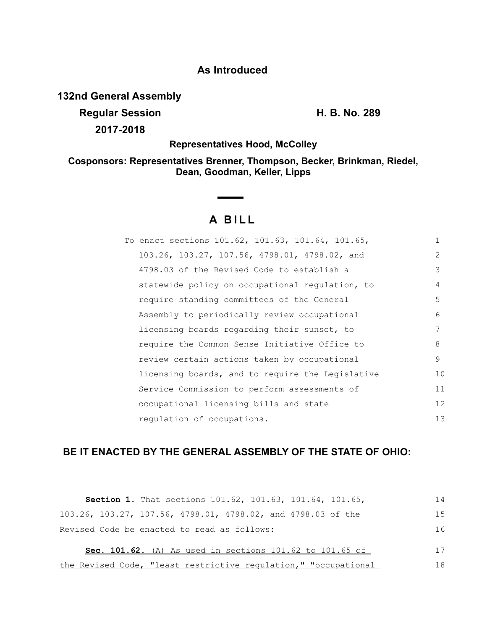## **As Introduced**

**132nd General Assembly**

**Regular Session H. B. No. 289 2017-2018**

**Representatives Hood, McColley**

**Cosponsors: Representatives Brenner, Thompson, Becker, Brinkman, Riedel, Dean, Goodman, Keller, Lipps**

## **A BILL**

| To enact sections 101.62, 101.63, 101.64, 101.65, | 1  |
|---------------------------------------------------|----|
| 103.26, 103.27, 107.56, 4798.01, 4798.02, and     | 2  |
| 4798.03 of the Revised Code to establish a        | 3  |
| statewide policy on occupational regulation, to   | 4  |
| require standing committees of the General        | 5  |
| Assembly to periodically review occupational      | 6  |
| licensing boards regarding their sunset, to       | 7  |
| require the Common Sense Initiative Office to     | 8  |
| review certain actions taken by occupational      | 9  |
| licensing boards, and to require the Legislative  | 10 |
| Service Commission to perform assessments of      | 11 |
| occupational licensing bills and state            | 12 |
| regulation of occupations.                        | 13 |
|                                                   |    |

## **BE IT ENACTED BY THE GENERAL ASSEMBLY OF THE STATE OF OHIO:**

| <b>Section 1.</b> That sections 101.62, 101.63, 101.64, 101.65, | 14 |
|-----------------------------------------------------------------|----|
| 103.26, 103.27, 107.56, 4798.01, 4798.02, and 4798.03 of the    | 15 |
| Revised Code be enacted to read as follows:                     | 16 |
| Sec. 101.62. (A) As used in sections 101.62 to 101.65 of        | 17 |
| the Revised Code, "least restrictive regulation," "occupational | 18 |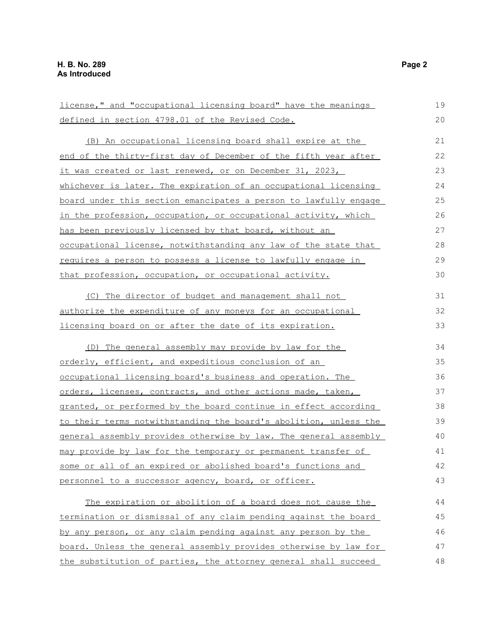| license," and "occupational licensing board" have the meanings      | 19 |
|---------------------------------------------------------------------|----|
| defined in section 4798.01 of the Revised Code.                     | 20 |
| (B) An occupational licensing board shall expire at the             | 21 |
| end of the thirty-first day of December of the fifth year after     | 22 |
| <u>it was created or last renewed, or on December 31, 2023, </u>    | 23 |
| whichever is later. The expiration of an occupational licensing     | 24 |
| board under this section emancipates a person to lawfully engage    | 25 |
| in the profession, occupation, or occupational activity, which      | 26 |
| has been previously licensed by that board, without an              | 27 |
| occupational license, notwithstanding any law of the state that     | 28 |
| <u>requires a person to possess a license to lawfully engage in</u> | 29 |
| that profession, occupation, or occupational activity.              | 30 |
| (C) The director of budget and management shall not                 | 31 |
| authorize the expenditure of any moneys for an occupational         | 32 |
| licensing board on or after the date of its expiration.             | 33 |
| (D) The general assembly may provide by law for the                 | 34 |
| <u>orderly, efficient, and expeditious conclusion of an</u>         | 35 |
| occupational licensing board's business and operation. The          | 36 |
| orders, licenses, contracts, and other actions made, taken,         | 37 |
| granted, or performed by the board continue in effect according     | 38 |
| to their terms notwithstanding the board's abolition, unless the    | 39 |
| general assembly provides otherwise by law. The general assembly    | 40 |
| may provide by law for the temporary or permanent transfer of       | 41 |
| some or all of an expired or abolished board's functions and        | 42 |
| personnel to a successor agency, board, or officer.                 | 43 |
| The expiration or abolition of a board does not cause the           | 44 |
| termination or dismissal of any claim pending against the board     | 45 |
| by any person, or any claim pending against any person by the       | 46 |
| board. Unless the general assembly provides otherwise by law for    | 47 |
| the substitution of parties, the attorney general shall succeed     | 48 |

48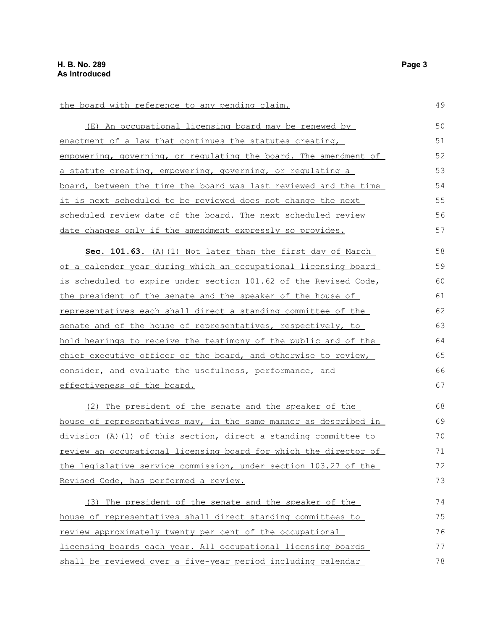| the board with reference to any pending claim.                   | 49 |
|------------------------------------------------------------------|----|
| (E) An occupational licensing board may be renewed by            | 50 |
| enactment of a law that continues the statutes creating,         | 51 |
| empowering, governing, or regulating the board. The amendment of | 52 |
| a statute creating, empowering, governing, or regulating a       | 53 |
| board, between the time the board was last reviewed and the time | 54 |
| it is next scheduled to be reviewed does not change the next     | 55 |
| scheduled review date of the board. The next scheduled review    | 56 |
| date changes only if the amendment expressly so provides.        | 57 |
| Sec. 101.63. (A) (1) Not later than the first day of March       | 58 |
| of a calender year during which an occupational licensing board  | 59 |
| is scheduled to expire under section 101.62 of the Revised Code, | 60 |
| the president of the senate and the speaker of the house of      | 61 |
| representatives each shall direct a standing committee of the    | 62 |
| senate and of the house of representatives, respectively, to     | 63 |
| hold hearings to receive the testimony of the public and of the  | 64 |
| chief executive officer of the board, and otherwise to review,   | 65 |
| consider, and evaluate the usefulness, performance, and          | 66 |
| effectiveness of the board.                                      | 67 |
| (2) The president of the senate and the speaker of the           | 68 |
| house of representatives may, in the same manner as described in | 69 |
| division (A) (1) of this section, direct a standing committee to | 70 |
| review an occupational licensing board for which the director of | 71 |
| the legislative service commission, under section 103.27 of the  | 72 |
| Revised Code, has performed a review.                            | 73 |
| (3) The president of the senate and the speaker of the           | 74 |
| house of representatives shall direct standing committees to     | 75 |
| review approximately twenty per cent of the occupational         | 76 |
| licensing boards each year. All occupational licensing boards    | 77 |
| shall be reviewed over a five-year period including calendar     | 78 |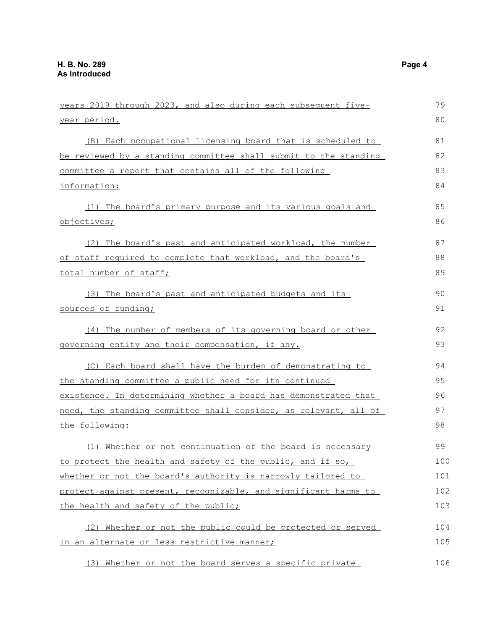| years 2019 through 2023, and also during each subsequent five-   | 79  |
|------------------------------------------------------------------|-----|
| <u>year period.</u>                                              | 80  |
| (B) Each occupational licensing board that is scheduled to       | 81  |
| be reviewed by a standing committee shall submit to the standing | 82  |
| committee a report that contains all of the following            | 83  |
| information:                                                     | 84  |
| (1) The board's primary purpose and its various goals and        | 85  |
| <u>objectives;</u>                                               | 86  |
| (2) The board's past and anticipated workload, the number        | 87  |
| of staff required to complete that workload, and the board's     | 88  |
| total number of staff;                                           | 89  |
| (3) The board's past and anticipated budgets and its             | 90  |
| <u>sources of funding;</u>                                       | 91  |
| (4) The number of members of its governing board or other        | 92  |
| governing entity and their compensation, if any.                 | 93  |
| (C) Each board shall have the burden of demonstrating to         | 94  |
| the standing committee a public need for its continued           | 95  |
| existence. In determining whether a board has demonstrated that  | 96  |
| need, the standing committee shall consider, as relevant, all of | 97  |
| the following:                                                   | 98  |
| (1) Whether or not continuation of the board is necessary        | 99  |
| to protect the health and safety of the public, and if so,       | 100 |
| whether or not the board's authority is narrowly tailored to     | 101 |
| protect against present, recognizable, and significant harms to  | 102 |
| the health and safety of the public;                             | 103 |
| (2) Whether or not the public could be protected or served       | 104 |
| in an alternate or less restrictive manner;                      | 105 |
| (3) Whether or not the board serves a specific private           | 106 |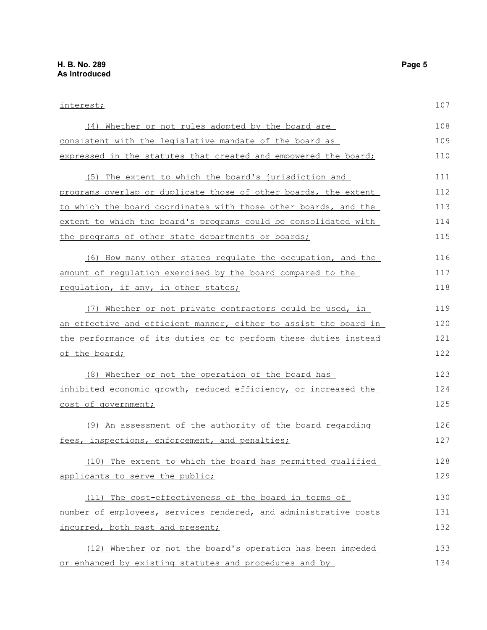interest; (4) Whether or not rules adopted by the board are consistent with the legislative mandate of the board as expressed in the statutes that created and empowered the board; (5) The extent to which the board's jurisdiction and programs overlap or duplicate those of other boards, the extent to which the board coordinates with those other boards, and the extent to which the board's programs could be consolidated with the programs of other state departments or boards; (6) How many other states regulate the occupation, and the amount of regulation exercised by the board compared to the regulation, if any, in other states; (7) Whether or not private contractors could be used, in an effective and efficient manner, either to assist the board in the performance of its duties or to perform these duties instead of the board; (8) Whether or not the operation of the board has inhibited economic growth, reduced efficiency, or increased the cost of government; (9) An assessment of the authority of the board regarding fees, inspections, enforcement, and penalties; (10) The extent to which the board has permitted qualified applicants to serve the public; (11) The cost-effectiveness of the board in terms of number of employees, services rendered, and administrative costs incurred, both past and present; (12) Whether or not the board's operation has been impeded 107 108 109 110 111 112 113 114 115 116 117 118 119 120 121 122 123 124 125 126 127 128 129 130 131 132 133

or enhanced by existing statutes and procedures and by 134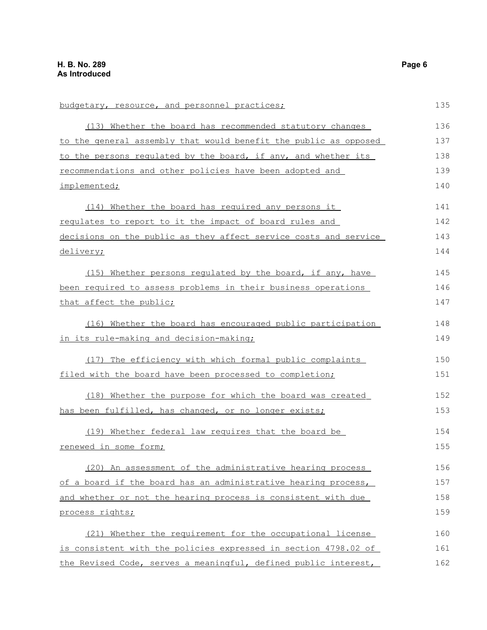| budgetary, resource, and personnel practices;                    | 135 |
|------------------------------------------------------------------|-----|
| (13) Whether the board has recommended statutory changes         | 136 |
| to the general assembly that would benefit the public as opposed | 137 |
| to the persons requlated by the board, if any, and whether its   | 138 |
| recommendations and other policies have been adopted and         | 139 |
| implemented;                                                     | 140 |
| (14) Whether the board has required any persons it               | 141 |
| regulates to report to it the impact of board rules and          | 142 |
| decisions on the public as they affect service costs and service | 143 |
| delivery;                                                        | 144 |
| (15) Whether persons regulated by the board, if any, have        | 145 |
| been required to assess problems in their business operations    | 146 |
| that affect the public;                                          | 147 |
| (16) Whether the board has encouraged public participation       | 148 |
| in its rule-making and decision-making;                          | 149 |
| (17) The efficiency with which formal public complaints          | 150 |
| filed with the board have been processed to completion;          | 151 |
| (18) Whether the purpose for which the board was created         | 152 |
| has been fulfilled, has changed, or no longer exists;            | 153 |
| (19) Whether federal law requires that the board be              | 154 |
| renewed in some form;                                            | 155 |
| (20) An assessment of the administrative hearing process         | 156 |
| of a board if the board has an administrative hearing process,   | 157 |
| and whether or not the hearing process is consistent with due    | 158 |
| process rights;                                                  | 159 |
| (21) Whether the requirement for the occupational license        | 160 |
| is consistent with the policies expressed in section 4798.02 of  | 161 |
| the Revised Code, serves a meaningful, defined public interest,  | 162 |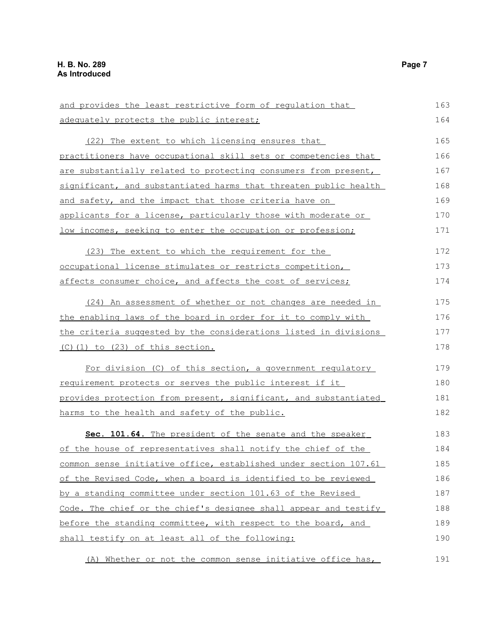| and provides the least restrictive form of requlation that       | 163 |
|------------------------------------------------------------------|-----|
| adequately protects the public interest;                         | 164 |
| (22) The extent to which licensing ensures that                  | 165 |
| practitioners have occupational skill sets or competencies that  | 166 |
| are substantially related to protecting consumers from present,  | 167 |
| significant, and substantiated harms that threaten public health | 168 |
| and safety, and the impact that those criteria have on           | 169 |
| applicants for a license, particularly those with moderate or    | 170 |
| low incomes, seeking to enter the occupation or profession;      | 171 |
| (23) The extent to which the requirement for the                 | 172 |
| occupational license stimulates or restricts competition,        | 173 |
| affects consumer choice, and affects the cost of services;       | 174 |
| (24) An assessment of whether or not changes are needed in       | 175 |
| the enabling laws of the board in order for it to comply with    | 176 |
| the criteria suggested by the considerations listed in divisions | 177 |
| <u>(C)(1) to (23) of this section.</u>                           | 178 |
| For division (C) of this section, a government regulatory        | 179 |
| requirement protects or serves the public interest if it         | 180 |
| provides protection from present, significant, and substantiated | 181 |
| harms to the health and safety of the public.                    | 182 |
| Sec. 101.64. The president of the senate and the speaker         | 183 |
| of the house of representatives shall notify the chief of the    | 184 |
| common sense initiative office, established under section 107.61 | 185 |
| of the Revised Code, when a board is identified to be reviewed   | 186 |
| by a standing committee under section 101.63 of the Revised      | 187 |
| Code. The chief or the chief's designee shall appear and testify | 188 |
| before the standing committee, with respect to the board, and    | 189 |
| shall testify on at least all of the following:                  | 190 |
| (A) Whether or not the common sense initiative office has,       | 191 |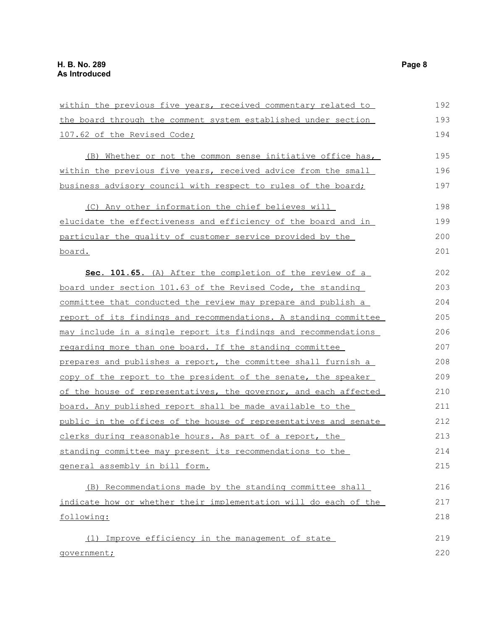| within the previous five years, received commentary related to   | 192 |
|------------------------------------------------------------------|-----|
| the board through the comment system established under section   | 193 |
| 107.62 of the Revised Code;                                      | 194 |
| (B) Whether or not the common sense initiative office has,       | 195 |
| within the previous five years, received advice from the small   | 196 |
| business advisory council with respect to rules of the board;    | 197 |
| (C) Any other information the chief believes will                | 198 |
| elucidate the effectiveness and efficiency of the board and in   | 199 |
| particular the quality of customer service provided by the       | 200 |
| <u>board.</u>                                                    | 201 |
| <b>Sec. 101.65.</b> (A) After the completion of the review of a  | 202 |
| board under section 101.63 of the Revised Code, the standing     | 203 |
| committee that conducted the review may prepare and publish a    | 204 |
| report of its findings and recommendations. A standing committee | 205 |
| may include in a single report its findings and recommendations  | 206 |
| regarding more than one board. If the standing committee         | 207 |
| prepares and publishes a report, the committee shall furnish a   | 208 |
| copy of the report to the president of the senate, the speaker   | 209 |
| of the house of representatives, the governor, and each affected | 210 |
| board. Any published report shall be made available to the       | 211 |
| public in the offices of the house of representatives and senate | 212 |
| clerks during reasonable hours. As part of a report, the         | 213 |
| standing committee may present its recommendations to the        | 214 |
| general assembly in bill form.                                   | 215 |
| (B) Recommendations made by the standing committee shall         | 216 |
| indicate how or whether their implementation will do each of the | 217 |
| following:                                                       | 218 |
| (1) Improve efficiency in the management of state                | 219 |
| government;                                                      | 220 |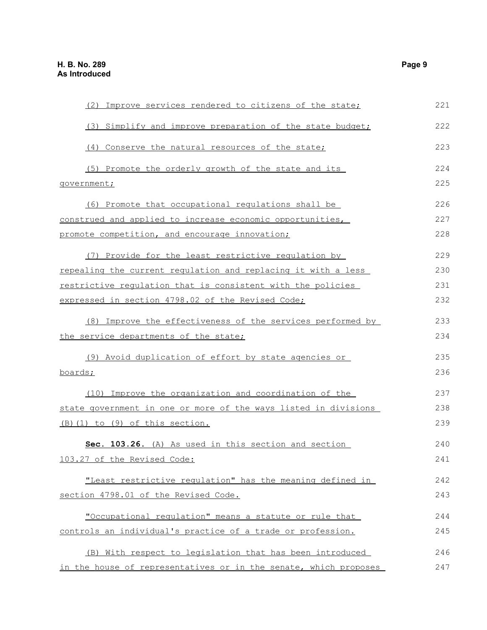| (2) Improve services rendered to citizens of the state;          | 221 |
|------------------------------------------------------------------|-----|
| (3) Simplify and improve preparation of the state budget;        | 222 |
| (4) Conserve the natural resources of the state;                 | 223 |
| (5) Promote the orderly growth of the state and its              | 224 |
| qovernment;                                                      | 225 |
| (6) Promote that occupational regulations shall be               | 226 |
| construed and applied to increase economic opportunities,        | 227 |
| promote competition, and encourage innovation;                   | 228 |
| (7) Provide for the least restrictive regulation by              | 229 |
| repealing the current regulation and replacing it with a less    | 230 |
| restrictive requlation that is consistent with the policies      | 231 |
| expressed in section 4798.02 of the Revised Code;                | 232 |
| (8) Improve the effectiveness of the services performed by       | 233 |
| the service departments of the state;                            | 234 |
| (9) Avoid duplication of effort by state agencies or             | 235 |
| boards;                                                          | 236 |
| (10) Improve the organization and coordination of the            | 237 |
| state government in one or more of the ways listed in divisions  | 238 |
| (B)(1) to (9) of this section.                                   | 239 |
| Sec. 103.26. (A) As used in this section and section             | 240 |
| 103.27 of the Revised Code:                                      | 241 |
| "Least restrictive regulation" has the meaning defined in        | 242 |
| section 4798.01 of the Revised Code.                             | 243 |
| "Occupational regulation" means a statute or rule that           | 244 |
| controls an individual's practice of a trade or profession.      | 245 |
| (B) With respect to legislation that has been introduced         | 246 |
| in the house of representatives or in the senate, which proposes | 247 |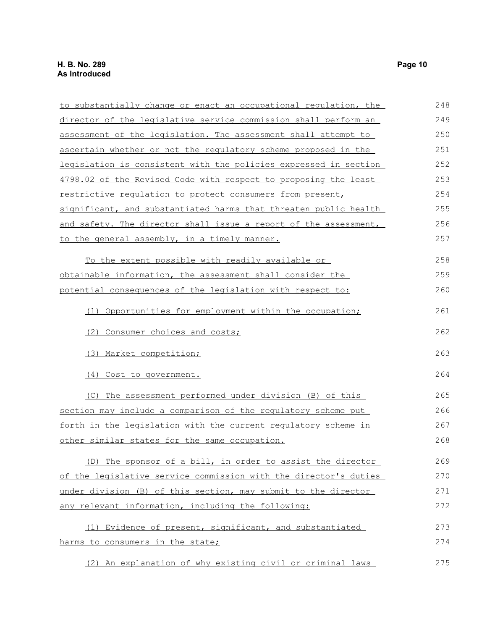| to substantially change or enact an occupational regulation, the | 248 |
|------------------------------------------------------------------|-----|
| director of the legislative service commission shall perform an  | 249 |
| assessment of the legislation. The assessment shall attempt to   | 250 |
| ascertain whether or not the regulatory scheme proposed in the   | 251 |
| legislation is consistent with the policies expressed in section | 252 |
| 4798.02 of the Revised Code with respect to proposing the least  | 253 |
| restrictive regulation to protect consumers from present,        | 254 |
| significant, and substantiated harms that threaten public health | 255 |
| and safety. The director shall issue a report of the assessment, | 256 |
| to the general assembly, in a timely manner.                     | 257 |
| To the extent possible with readily available or                 | 258 |
| obtainable information, the assessment shall consider the        | 259 |
| potential consequences of the legislation with respect to:       | 260 |
| (1) Opportunities for employment within the occupation;          | 261 |
| (2) Consumer choices and costs;                                  | 262 |
| (3) Market competition;                                          | 263 |
| (4) Cost to government.                                          | 264 |
| (C) The assessment performed under division (B) of this          | 265 |
| section may include a comparison of the regulatory scheme put    | 266 |
| forth in the legislation with the current regulatory scheme in   | 267 |
| other similar states for the same occupation.                    | 268 |
| (D) The sponsor of a bill, in order to assist the director       | 269 |
| of the legislative service commission with the director's duties | 270 |
| under division (B) of this section, may submit to the director   | 271 |
| any relevant information, including the following:               | 272 |
| (1) Evidence of present, significant, and substantiated          | 273 |
| harms to consumers in the state;                                 | 274 |
| (2) An explanation of why existing civil or criminal laws        | 275 |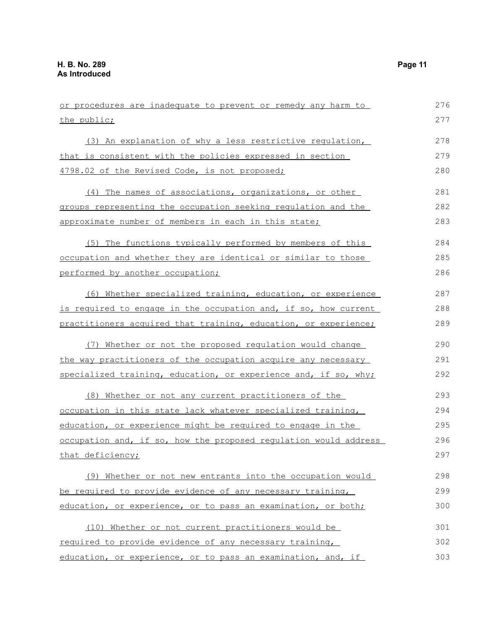| or procedures are inadequate to prevent or remedy any harm to    | 276 |
|------------------------------------------------------------------|-----|
| the public;                                                      | 277 |
| (3) An explanation of why a less restrictive regulation,         | 278 |
| that is consistent with the policies expressed in section        | 279 |
| 4798.02 of the Revised Code, is not proposed;                    | 280 |
| (4) The names of associations, organizations, or other           | 281 |
| groups representing the occupation seeking regulation and the    | 282 |
| approximate number of members in each in this state;             | 283 |
| (5) The functions typically performed by members of this         | 284 |
| occupation and whether they are identical or similar to those    | 285 |
| performed by another occupation;                                 | 286 |
| (6) Whether specialized training, education, or experience       | 287 |
| is required to engage in the occupation and, if so, how current  | 288 |
| practitioners acquired that training, education, or experience;  | 289 |
| (7) Whether or not the proposed regulation would change          | 290 |
| the way practitioners of the occupation acquire any necessary    | 291 |
| specialized training, education, or experience and, if so, why;  | 292 |
| (8) Whether or not any current practitioners of the              | 293 |
| occupation in this state lack whatever specialized training,     | 294 |
| education, or experience might be required to engage in the      | 295 |
| occupation and, if so, how the proposed regulation would address | 296 |
| that deficiency;                                                 | 297 |
| (9) Whether or not new entrants into the occupation would        | 298 |
| be required to provide evidence of any necessary training,       | 299 |
| education, or experience, or to pass an examination, or both;    | 300 |
| (10) Whether or not current practitioners would be               | 301 |
| required to provide evidence of any necessary training,          | 302 |
| education, or experience, or to pass an examination, and, if     | 303 |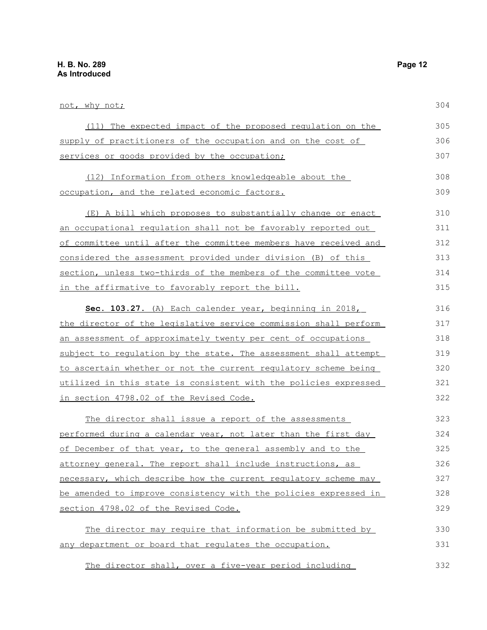| not, why not;                                                            | 304 |
|--------------------------------------------------------------------------|-----|
| (11) The expected impact of the proposed regulation on the               | 305 |
| supply of practitioners of the occupation and on the cost of             | 306 |
| services or goods provided by the occupation;                            | 307 |
| (12) Information from others knowledgeable about the                     | 308 |
| <u>occupation, and the related economic factors.</u>                     | 309 |
| (E) A bill which proposes to substantially change or enact               | 310 |
| an occupational regulation shall not be favorably reported out           | 311 |
| of committee until after the committee members have received and         | 312 |
| considered the assessment provided under division (B) of this            | 313 |
| section, unless two-thirds of the members of the committee vote          | 314 |
| in the affirmative to favorably report the bill.                         | 315 |
| Sec. 103.27. (A) Each calender year, beginning in 2018,                  | 316 |
| the director of the legislative service commission shall perform         | 317 |
| <u>an assessment of approximately twenty per cent of occupations</u>     | 318 |
| subject to requlation by the state. The assessment shall attempt         | 319 |
| <u>to ascertain whether or not the current requlatory scheme being</u>   | 320 |
| utilized in this state is consistent with the policies expressed         | 321 |
| <u>in section 4798.02 of the Revised Code.</u>                           | 322 |
| The director shall issue a report of the assessments                     | 323 |
| <u>performed during a calendar year, not later than the first day </u>   | 324 |
| of December of that year, to the general assembly and to the             | 325 |
| attorney general. The report shall include instructions, as              | 326 |
| necessary, which describe how the current regulatory scheme may          | 327 |
| <u>be amended to improve consistency with the policies expressed in </u> | 328 |
| section 4798.02 of the Revised Code.                                     | 329 |
| The director may require that information be submitted by                | 330 |
| any department or board that requlates the occupation.                   | 331 |
|                                                                          |     |

The director shall, over a five-year period including 332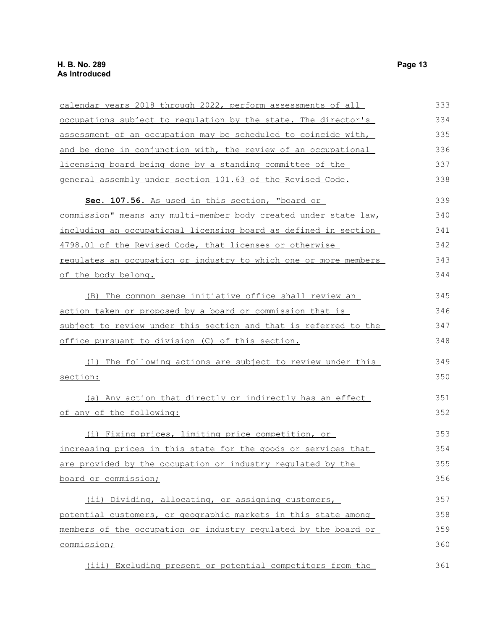| calendar years 2018 through 2022, perform assessments of all            | 333 |
|-------------------------------------------------------------------------|-----|
| occupations subject to regulation by the state. The director's          | 334 |
| assessment of an occupation may be scheduled to coincide with,          | 335 |
| and be done in conjunction with, the review of an occupational          | 336 |
| licensing board being done by a standing committee of the               | 337 |
| general assembly under section 101.63 of the Revised Code.              | 338 |
| Sec. 107.56. As used in this section, "board or                         | 339 |
| <u>commission" means any multi-member body created under state law,</u> | 340 |
| including an occupational licensing board as defined in section         | 341 |
| 4798.01 of the Revised Code, that licenses or otherwise                 | 342 |
| requlates an occupation or industry to which one or more members        | 343 |
| of the body belong.                                                     | 344 |
| (B) The common sense initiative office shall review an                  | 345 |
| action taken or proposed by a board or commission that is               | 346 |
| subject to review under this section and that is referred to the        | 347 |
| office pursuant to division (C) of this section.                        | 348 |
| (1) The following actions are subject to review under this              | 349 |
| section:                                                                | 350 |
| (a) Any action that directly or indirectly has an effect                | 351 |
| of any of the following:                                                | 352 |
| (i) Fixing prices, limiting price competition, or                       | 353 |
| increasing prices in this state for the goods or services that          | 354 |
| are provided by the occupation or industry regulated by the             | 355 |
| board or commission;                                                    | 356 |
| (ii) Dividing, allocating, or assigning customers,                      | 357 |
| potential customers, or geographic markets in this state among          | 358 |
| members of the occupation or industry regulated by the board or         | 359 |
| commission;                                                             | 360 |
| (iii) Excluding present or potential competitors from the               | 361 |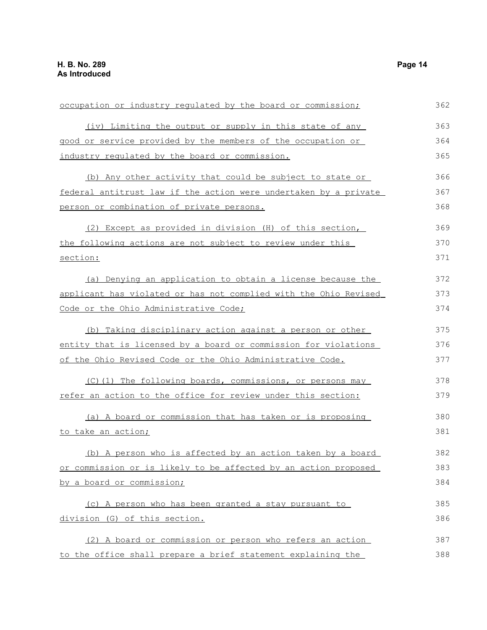| occupation or industry regulated by the board or commission;     | 362 |
|------------------------------------------------------------------|-----|
| (iv) Limiting the output or supply in this state of any          | 363 |
| good or service provided by the members of the occupation or     | 364 |
| industry regulated by the board or commission.                   | 365 |
| (b) Any other activity that could be subject to state or         | 366 |
| federal antitrust law if the action were undertaken by a private | 367 |
| person or combination of private persons.                        | 368 |
| (2) Except as provided in division (H) of this section,          | 369 |
| the following actions are not subject to review under this       | 370 |
| section:                                                         | 371 |
| (a) Denying an application to obtain a license because the       | 372 |
| applicant has violated or has not complied with the Ohio Revised | 373 |
| Code or the Ohio Administrative Code;                            | 374 |
| (b) Taking disciplinary action against a person or other         | 375 |
| entity that is licensed by a board or commission for violations  | 376 |
| of the Ohio Revised Code or the Ohio Administrative Code.        | 377 |
| (C)(1) The following boards, commissions, or persons may         | 378 |
| refer an action to the office for review under this section:     | 379 |
| (a) A board or commission that has taken or is proposing         | 380 |
| to take an action;                                               | 381 |
| (b) A person who is affected by an action taken by a board       | 382 |
| or commission or is likely to be affected by an action proposed  | 383 |
| by a board or commission;                                        | 384 |
| (c) A person who has been granted a stay pursuant to             | 385 |
| division (G) of this section.                                    | 386 |
| (2) A board or commission or person who refers an action         | 387 |
| to the office shall prepare a brief statement explaining the     | 388 |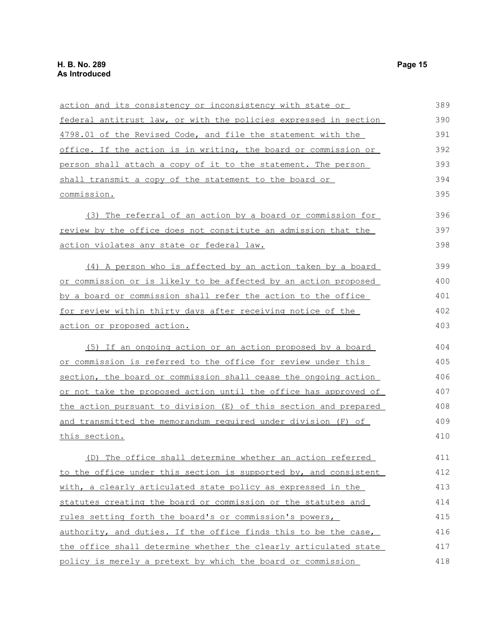| <u>action and its consistency or inconsistency with state or </u> | 389 |
|-------------------------------------------------------------------|-----|
| federal antitrust law, or with the policies expressed in section  | 390 |
| 4798.01 of the Revised Code, and file the statement with the      | 391 |
| office. If the action is in writing, the board or commission or   | 392 |
| person shall attach a copy of it to the statement. The person     | 393 |
| shall transmit a copy of the statement to the board or            | 394 |
| commission.                                                       | 395 |
| (3) The referral of an action by a board or commission for        | 396 |
| review by the office does not constitute an admission that the    | 397 |
| <u>action violates any state or federal law.</u>                  | 398 |
| (4) A person who is affected by an action taken by a board        | 399 |
| or commission or is likely to be affected by an action proposed   | 400 |
| by a board or commission shall refer the action to the office     | 401 |
| for review within thirty days after receiving notice of the       | 402 |
| action or proposed action.                                        | 403 |
| (5) If an ongoing action or an action proposed by a board         | 404 |
| or commission is referred to the office for review under this     | 405 |
| section, the board or commission shall cease the ongoing action   | 406 |
| or not take the proposed action until the office has approved of  | 407 |
| the action pursuant to division (E) of this section and prepared  | 408 |
| and transmitted the memorandum required under division (F) of     | 409 |
| <u>this section.</u>                                              | 410 |
| (D) The office shall determine whether an action referred         | 411 |
| to the office under this section is supported by, and consistent  | 412 |
| with, a clearly articulated state policy as expressed in the      | 413 |
| statutes creating the board or commission or the statutes and     | 414 |
| rules setting forth the board's or commission's powers,           | 415 |
| authority, and duties. If the office finds this to be the case,   | 416 |
| the office shall determine whether the clearly articulated state  | 417 |
| policy is merely a pretext by which the board or commission       | 418 |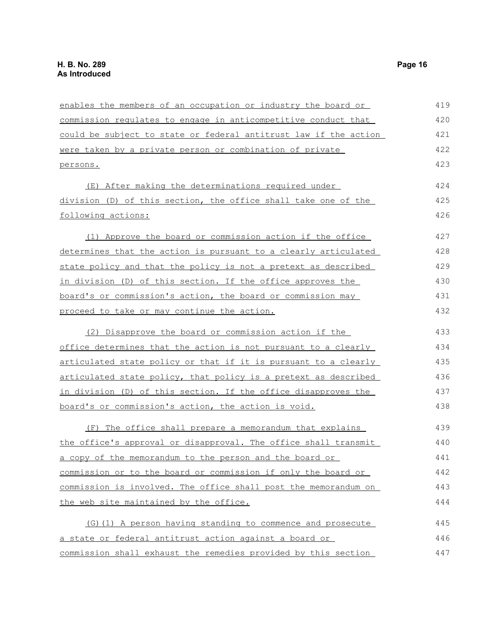| enables the members of an occupation or industry the board or    | 419 |
|------------------------------------------------------------------|-----|
|                                                                  |     |
| commission regulates to engage in anticompetitive conduct that   | 420 |
| could be subject to state or federal antitrust law if the action | 421 |
| were taken by a private person or combination of private         | 422 |
| persons.                                                         | 423 |
| (E) After making the determinations required under               | 424 |
| division (D) of this section, the office shall take one of the   | 425 |
| following actions:                                               | 426 |
| (1) Approve the board or commission action if the office         | 427 |
| determines that the action is pursuant to a clearly articulated  | 428 |
| state policy and that the policy is not a pretext as described   | 429 |
| in division (D) of this section. If the office approves the      | 430 |
| board's or commission's action, the board or commission may      | 431 |
| proceed to take or may continue the action.                      | 432 |
| (2) Disapprove the board or commission action if the             | 433 |
| office determines that the action is not pursuant to a clearly   | 434 |
| articulated state policy or that if it is pursuant to a clearly  | 435 |
| articulated state policy, that policy is a pretext as described  | 436 |
| in division (D) of this section. If the office disapproves the   | 437 |
| board's or commission's action, the action is void.              | 438 |
| (F) The office shall prepare a memorandum that explains          | 439 |
| the office's approval or disapproval. The office shall transmit  | 440 |
| a copy of the memorandum to the person and the board or          | 441 |
| commission or to the board or commission if only the board or    | 442 |
| commission is involved. The office shall post the memorandum on  | 443 |
| the web site maintained by the office.                           | 444 |
| (G) (1) A person having standing to commence and prosecute       | 445 |
| a state or federal antitrust action against a board or           | 446 |
| commission shall exhaust the remedies provided by this section   | 447 |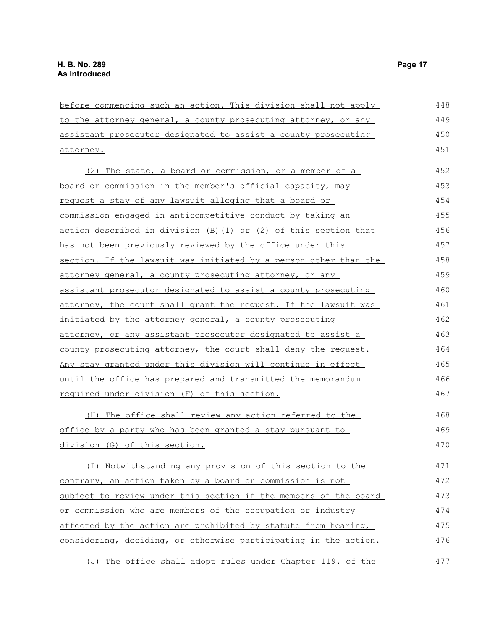| before commencing such an action. This division shall not apply  | 448 |
|------------------------------------------------------------------|-----|
| to the attorney general, a county prosecuting attorney, or any   | 449 |
| assistant prosecutor designated to assist a county prosecuting   | 450 |
| attorney.                                                        | 451 |
| (2) The state, a board or commission, or a member of a           | 452 |
| board or commission in the member's official capacity, may       | 453 |
| request a stay of any lawsuit alleging that a board or           | 454 |
| commission engaged in anticompetitive conduct by taking an       | 455 |
| action described in division (B) (1) or (2) of this section that | 456 |
| has not been previously reviewed by the office under this        | 457 |
| section. If the lawsuit was initiated by a person other than the | 458 |
| attorney general, a county prosecuting attorney, or any          | 459 |
| assistant prosecutor designated to assist a county prosecuting   | 460 |
| attorney, the court shall grant the request. If the lawsuit was  | 461 |
| initiated by the attorney general, a county prosecuting          | 462 |
| attorney, or any assistant prosecutor designated to assist a     | 463 |
| county prosecuting attorney, the court shall deny the request.   | 464 |
| Any stay granted under this division will continue in effect     | 465 |
| until the office has prepared and transmitted the memorandum     | 466 |
| required under division (F) of this section.                     | 467 |
| (H) The office shall review any action referred to the           | 468 |
| office by a party who has been granted a stay pursuant to        | 469 |
| division (G) of this section.                                    | 470 |
| (I) Notwithstanding any provision of this section to the         | 471 |
| contrary, an action taken by a board or commission is not        | 472 |
| subject to review under this section if the members of the board | 473 |
| or commission who are members of the occupation or industry      | 474 |
| affected by the action are prohibited by statute from hearing,   | 475 |
| considering, deciding, or otherwise participating in the action. | 476 |
| The office shall adopt rules under Chapter 119. of the<br>(J)    | 477 |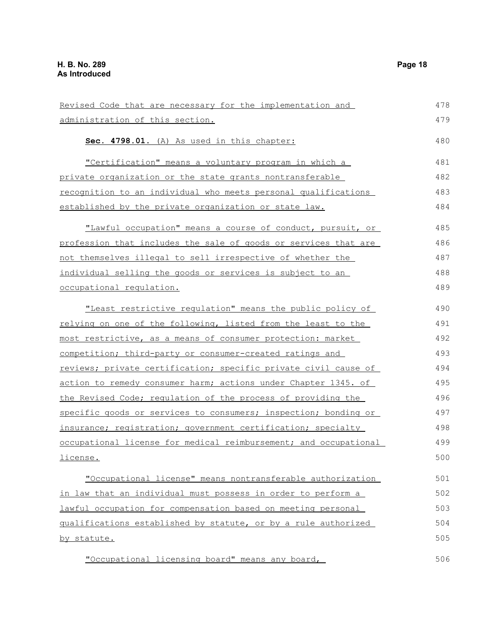| Revised Code that are necessary for the implementation and       | 478 |
|------------------------------------------------------------------|-----|
| administration of this section.                                  | 479 |
| Sec. 4798.01. (A) As used in this chapter:                       | 480 |
| "Certification" means a voluntary program in which a             | 481 |
| <u>private organization or the state grants nontransferable</u>  | 482 |
| recognition to an individual who meets personal qualifications   | 483 |
| established by the private organization or state law.            | 484 |
| "Lawful occupation" means a course of conduct, pursuit, or       | 485 |
| profession that includes the sale of goods or services that are  | 486 |
| not themselves illegal to sell irrespective of whether the       | 487 |
| individual selling the goods or services is subject to an        | 488 |
| occupational regulation.                                         | 489 |
| "Least restrictive regulation" means the public policy of        | 490 |
| relying on one of the following, listed from the least to the    | 491 |
| most restrictive, as a means of consumer protection: market      | 492 |
| competition; third-party or consumer-created ratings and         | 493 |
| reviews; private certification; specific private civil cause of  | 494 |
| action to remedy consumer harm; actions under Chapter 1345. of   | 495 |
| the Revised Code; requlation of the process of providing the     | 496 |
| specific goods or services to consumers; inspection; bonding or  | 497 |
| insurance; registration; government certification; specialty     | 498 |
| occupational license for medical reimbursement; and occupational | 499 |
| license.                                                         | 500 |
| "Occupational license" means nontransferable authorization       | 501 |
| in law that an individual must possess in order to perform a     | 502 |
| lawful occupation for compensation based on meeting personal     | 503 |
| qualifications established by statute, or by a rule authorized   | 504 |
| by statute.                                                      | 505 |
| "Occupational licensing board" means any board,                  | 506 |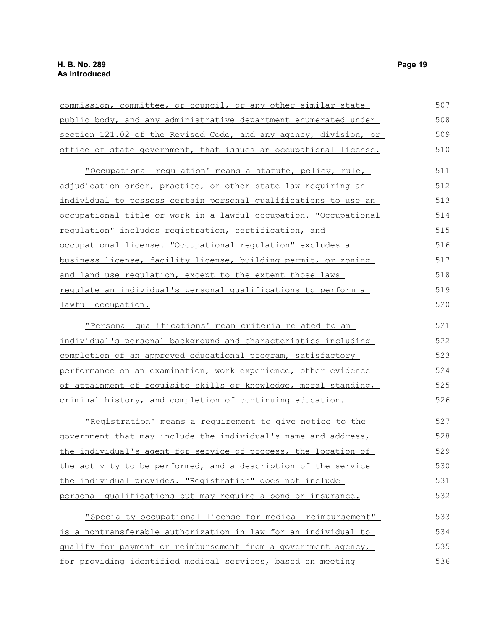| commission, committee, or council, or any other similar state    | 507 |
|------------------------------------------------------------------|-----|
| public body, and any administrative department enumerated under  | 508 |
| section 121.02 of the Revised Code, and any agency, division, or | 509 |
| office of state government, that issues an occupational license. | 510 |
| "Occupational requlation" means a statute, policy, rule,         | 511 |
| adjudication order, practice, or other state law requiring an    | 512 |
| individual to possess certain personal qualifications to use an  | 513 |
| occupational title or work in a lawful occupation. "Occupational | 514 |
| regulation" includes registration, certification, and            | 515 |
| occupational license. "Occupational regulation" excludes a       | 516 |
| business license, facility license, building permit, or zoning   | 517 |
| and land use regulation, except to the extent those laws         | 518 |
| regulate an individual's personal qualifications to perform a    | 519 |
| lawful occupation.                                               | 520 |
| "Personal qualifications" mean criteria related to an            | 521 |
| individual's personal background and characteristics including   | 522 |
| completion of an approved educational program, satisfactory      | 523 |
| performance on an examination, work experience, other evidence   | 524 |
| of attainment of requisite skills or knowledge, moral standing,  | 525 |
| criminal history, and completion of continuing education.        | 526 |
| "Registration" means a requirement to give notice to the         | 527 |
| government that may include the individual's name and address,   | 528 |
| the individual's agent for service of process, the location of   | 529 |
| the activity to be performed, and a description of the service   | 530 |
| the individual provides. "Registration" does not include         | 531 |
| personal qualifications but may require a bond or insurance.     | 532 |
| "Specialty occupational license for medical reimbursement"       | 533 |
| is a nontransferable authorization in law for an individual to   | 534 |
| gualify for payment or reimbursement from a government agency,   | 535 |
| for providing identified medical services, based on meeting      | 536 |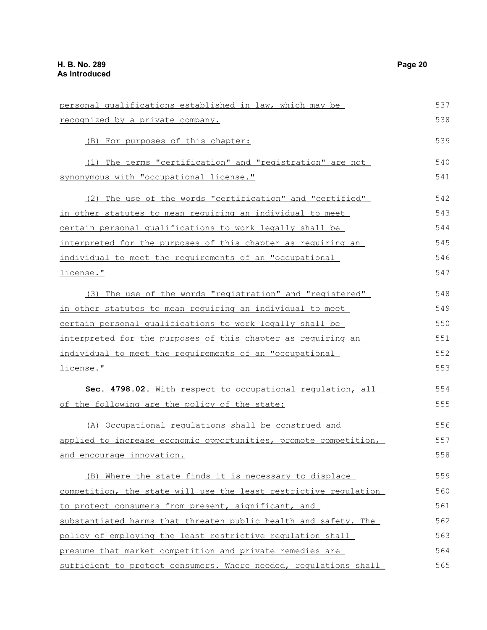personal qualifications established in law, which may be recognized by a private company. (B) For purposes of this chapter: (1) The terms "certification" and "registration" are not synonymous with "occupational license." (2) The use of the words "certification" and "certified" in other statutes to mean requiring an individual to meet certain personal qualifications to work legally shall be interpreted for the purposes of this chapter as requiring an individual to meet the requirements of an "occupational license." (3) The use of the words "registration" and "registered" in other statutes to mean requiring an individual to meet certain personal qualifications to work legally shall be interpreted for the purposes of this chapter as requiring an individual to meet the requirements of an "occupational license." **Sec. 4798.02.** With respect to occupational regulation, all of the following are the policy of the state: (A) Occupational regulations shall be construed and applied to increase economic opportunities, promote competition, and encourage innovation. (B) Where the state finds it is necessary to displace competition, the state will use the least restrictive regulation to protect consumers from present, significant, and substantiated harms that threaten public health and safety. The policy of employing the least restrictive regulation shall presume that market competition and private remedies are sufficient to protect consumers. Where needed, regulations shall 537 538 539 540 541 542 543 544 545 546 547 548 549 550 551 552 553 554 555 556 557 558 559 560 561 562 563 564 565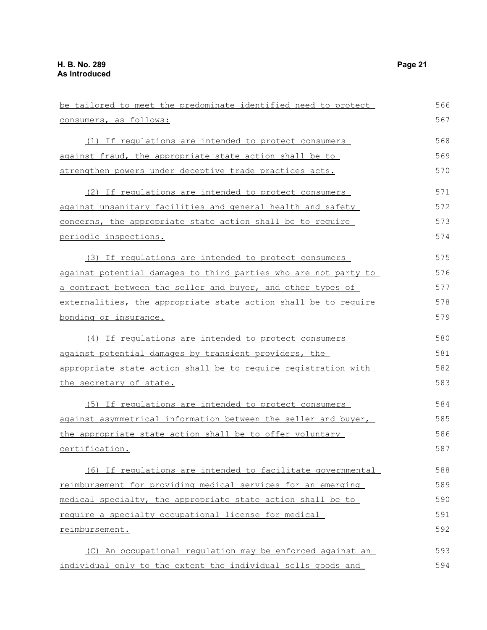| be tailored to meet the predominate identified need to protect  | 566 |
|-----------------------------------------------------------------|-----|
| consumers, as follows:                                          | 567 |
| (1) If requlations are intended to protect consumers            | 568 |
| against fraud, the appropriate state action shall be to         | 569 |
| strengthen powers under deceptive trade practices acts.         | 570 |
| (2) If regulations are intended to protect consumers            | 571 |
| against unsanitary facilities and general health and safety     | 572 |
| concerns, the appropriate state action shall be to require      | 573 |
| periodic inspections.                                           | 574 |
| (3) If requlations are intended to protect consumers            | 575 |
| against potential damages to third parties who are not party to | 576 |
| a contract between the seller and buyer, and other types of     | 577 |
| externalities, the appropriate state action shall be to require | 578 |
| bonding or insurance.                                           | 579 |
| (4) If regulations are intended to protect consumers            | 580 |
| against potential damages by transient providers, the           | 581 |
| appropriate state action shall be to require registration with  | 582 |
| the secretary of state.                                         | 583 |
| (5) If regulations are intended to protect consumers            | 584 |
| against asymmetrical information between the seller and buyer,  | 585 |
| the appropriate state action shall be to offer voluntary        | 586 |
| certification.                                                  | 587 |
| (6) If regulations are intended to facilitate governmental      | 588 |
| reimbursement for providing medical services for an emerging    | 589 |
| medical specialty, the appropriate state action shall be to     | 590 |
| require a specialty occupational license for medical            | 591 |
| reimbursement.                                                  | 592 |
| (C) An occupational regulation may be enforced against an       | 593 |
| individual only to the extent the individual sells goods and    | 594 |